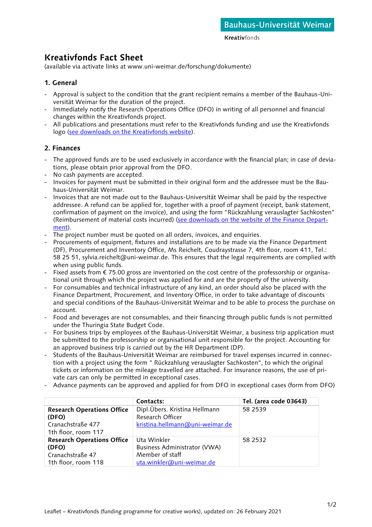**Kreativfonds** 

# **Kreativfonds Fact Sheet**

(available via activate links at www.uni-weimar.de/forschung/dokumente)

### **1. General**

- Approval is subject to the condition that the grant recipient remains a member of the Bauhaus-Universität Weimar for the duration of the project.
- Immediately notify the Research Operations Office (DFO) in writing of all personnel and financial changes within the Kreativfonds project.
- All publications and presentations must refer to the Kreativfonds funding and use the Kreativfonds logo [\(see downloads on the Kreativfonds website\)](http://www.uni-weimar.de/kreativfonds).

## **2. Finances**

- The approved funds are to be used exclusively in accordance with the financial plan; in case of deviations, please obtain prior approval from the DFO.
- No cash payments are accepted.
- Invoices for payment must be submitted in their original form and the addressee must be the Bauhaus-Universität Weimar.
- Invoices that are not made out to the Bauhaus-Universität Weimar shall be paid by the respective addressee. A refund can be applied for, together with a proof of payment (receipt, bank statement, confirmation of payment on the invoice), and using the form "Rückzahlung verauslagter Sachkosten" (Reimbursement of material costs incurred) [\(see downloads on the website of the Finance Depart](https://www.uni-weimar.de/de/universitaet/struktur/dezernate/dezernat-finanzen/quicklinks/dokumente-und-formulare/)[ment\)](https://www.uni-weimar.de/de/universitaet/struktur/dezernate/dezernat-finanzen/quicklinks/dokumente-und-formulare/).
- The project number must be quoted on all orders, invoices, and enquiries.
- Procurements of equipment, fixtures and installations are to be made via the Finance Department (DF), Procurement and Inventory Office, Ms Reichelt, Coudraystrasse 7, 4th floor, room 411, Tel.: 58 25 51, sylvia.reichelt@uni-weimar.de. This ensures that the legal requirements are complied with when using public funds.
- Fixed assets from € 75.00 gross are inventoried on the cost centre of the professorship or organisational unit through which the project was applied for and are the property of the university.
- For consumables and technical infrastructure of any kind, an order should also be placed with the Finance Department, Procurement, and Inventory Office, in order to take advantage of discounts and special conditions of the Bauhaus-Universität Weimar and to be able to process the purchase on account.
- Food and beverages are not consumables, and their financing through public funds is not permitted under the Thuringia State Budget Code.
- For business trips by employees of the Bauhaus-Universität Weimar, a business trip application must be submitted to the professorship or organisational unit responsible for the project. Accounting for an approved business trip is carried out by the HR Department (DP).
- Students of the Bauhaus-Universität Weimar are reimbursed for travel expenses incurred in connection with a project using the form " Rückzahlung verauslagter Sachkosten", to which the original tickets or information on the mileage travelled are attached. For insurance reasons, the use of private cars can only be permitted in exceptional cases.
- Advance payments can be approved and applied for from DFO in exceptional cases (form from DFO)

|                                   | Contacts:                       | Tel. (area code 03643) |
|-----------------------------------|---------------------------------|------------------------|
| <b>Research Operations Office</b> | Dipl.Übers. Kristina Hellmann   | 58 2539                |
| (DFO)                             | Research Officer                |                        |
| Cranachstraße 477                 | kristina.hellmann@uni-weimar.de |                        |
| 1th floor, room 117               |                                 |                        |
| <b>Research Operations Office</b> | Uta Winkler                     | 58 2532                |
| (DFO)                             | Business Administrator (VWA)    |                        |
| Cranachstraße 47                  | Member of staff                 |                        |
| 1th floor, room 118               | uta.winkler@uni-weimar.de       |                        |